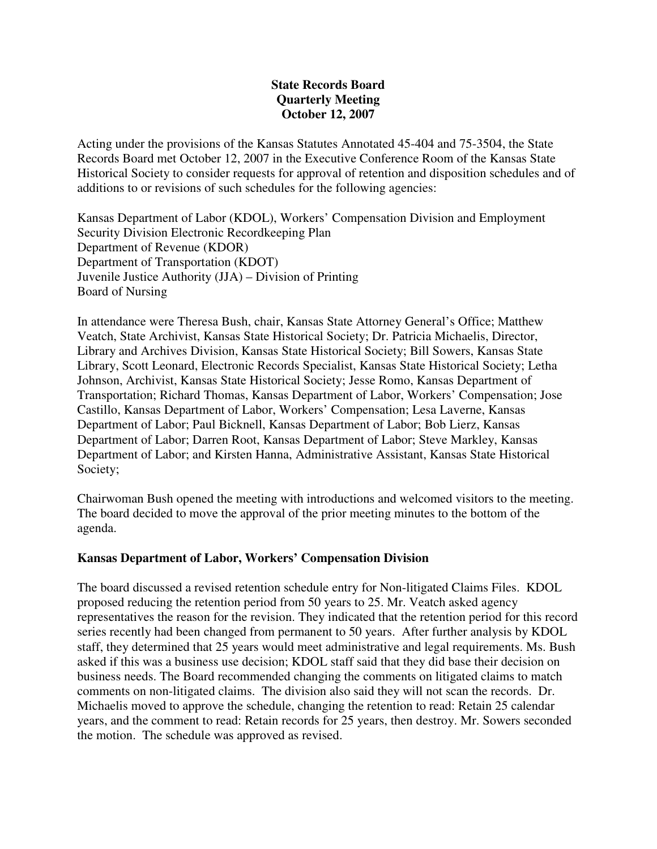## **State Records Board Quarterly Meeting October 12, 2007**

Acting under the provisions of the Kansas Statutes Annotated 45-404 and 75-3504, the State Records Board met October 12, 2007 in the Executive Conference Room of the Kansas State Historical Society to consider requests for approval of retention and disposition schedules and of additions to or revisions of such schedules for the following agencies:

Kansas Department of Labor (KDOL), Workers' Compensation Division and Employment Security Division Electronic Recordkeeping Plan Department of Revenue (KDOR) Department of Transportation (KDOT) Juvenile Justice Authority (JJA) – Division of Printing Board of Nursing

In attendance were Theresa Bush, chair, Kansas State Attorney General's Office; Matthew Veatch, State Archivist, Kansas State Historical Society; Dr. Patricia Michaelis, Director, Library and Archives Division, Kansas State Historical Society; Bill Sowers, Kansas State Library, Scott Leonard, Electronic Records Specialist, Kansas State Historical Society; Letha Johnson, Archivist, Kansas State Historical Society; Jesse Romo, Kansas Department of Transportation; Richard Thomas, Kansas Department of Labor, Workers' Compensation; Jose Castillo, Kansas Department of Labor, Workers' Compensation; Lesa Laverne, Kansas Department of Labor; Paul Bicknell, Kansas Department of Labor; Bob Lierz, Kansas Department of Labor; Darren Root, Kansas Department of Labor; Steve Markley, Kansas Department of Labor; and Kirsten Hanna, Administrative Assistant, Kansas State Historical Society;

Chairwoman Bush opened the meeting with introductions and welcomed visitors to the meeting. The board decided to move the approval of the prior meeting minutes to the bottom of the agenda.

### **Kansas Department of Labor, Workers' Compensation Division**

The board discussed a revised retention schedule entry for Non-litigated Claims Files. KDOL proposed reducing the retention period from 50 years to 25. Mr. Veatch asked agency representatives the reason for the revision. They indicated that the retention period for this record series recently had been changed from permanent to 50 years. After further analysis by KDOL staff, they determined that 25 years would meet administrative and legal requirements. Ms. Bush asked if this was a business use decision; KDOL staff said that they did base their decision on business needs. The Board recommended changing the comments on litigated claims to match comments on non-litigated claims. The division also said they will not scan the records. Dr. Michaelis moved to approve the schedule, changing the retention to read: Retain 25 calendar years, and the comment to read: Retain records for 25 years, then destroy. Mr. Sowers seconded the motion. The schedule was approved as revised.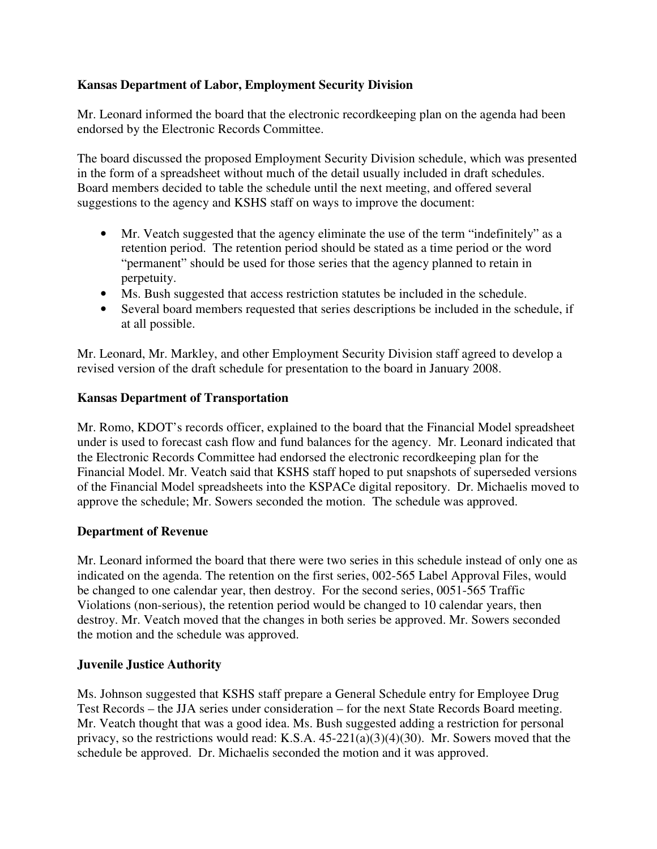# **Kansas Department of Labor, Employment Security Division**

Mr. Leonard informed the board that the electronic recordkeeping plan on the agenda had been endorsed by the Electronic Records Committee.

The board discussed the proposed Employment Security Division schedule, which was presented in the form of a spreadsheet without much of the detail usually included in draft schedules. Board members decided to table the schedule until the next meeting, and offered several suggestions to the agency and KSHS staff on ways to improve the document:

- Mr. Veatch suggested that the agency eliminate the use of the term "indefinitely" as a retention period. The retention period should be stated as a time period or the word "permanent" should be used for those series that the agency planned to retain in perpetuity.
- Ms. Bush suggested that access restriction statutes be included in the schedule.
- Several board members requested that series descriptions be included in the schedule, if at all possible.

Mr. Leonard, Mr. Markley, and other Employment Security Division staff agreed to develop a revised version of the draft schedule for presentation to the board in January 2008.

# **Kansas Department of Transportation**

Mr. Romo, KDOT's records officer, explained to the board that the Financial Model spreadsheet under is used to forecast cash flow and fund balances for the agency. Mr. Leonard indicated that the Electronic Records Committee had endorsed the electronic recordkeeping plan for the Financial Model. Mr. Veatch said that KSHS staff hoped to put snapshots of superseded versions of the Financial Model spreadsheets into the KSPACe digital repository. Dr. Michaelis moved to approve the schedule; Mr. Sowers seconded the motion. The schedule was approved.

# **Department of Revenue**

Mr. Leonard informed the board that there were two series in this schedule instead of only one as indicated on the agenda. The retention on the first series, 002-565 Label Approval Files, would be changed to one calendar year, then destroy. For the second series, 0051-565 Traffic Violations (non-serious), the retention period would be changed to 10 calendar years, then destroy. Mr. Veatch moved that the changes in both series be approved. Mr. Sowers seconded the motion and the schedule was approved.

# **Juvenile Justice Authority**

Ms. Johnson suggested that KSHS staff prepare a General Schedule entry for Employee Drug Test Records – the JJA series under consideration – for the next State Records Board meeting. Mr. Veatch thought that was a good idea. Ms. Bush suggested adding a restriction for personal privacy, so the restrictions would read: K.S.A. 45-221(a)(3)(4)(30). Mr. Sowers moved that the schedule be approved. Dr. Michaelis seconded the motion and it was approved.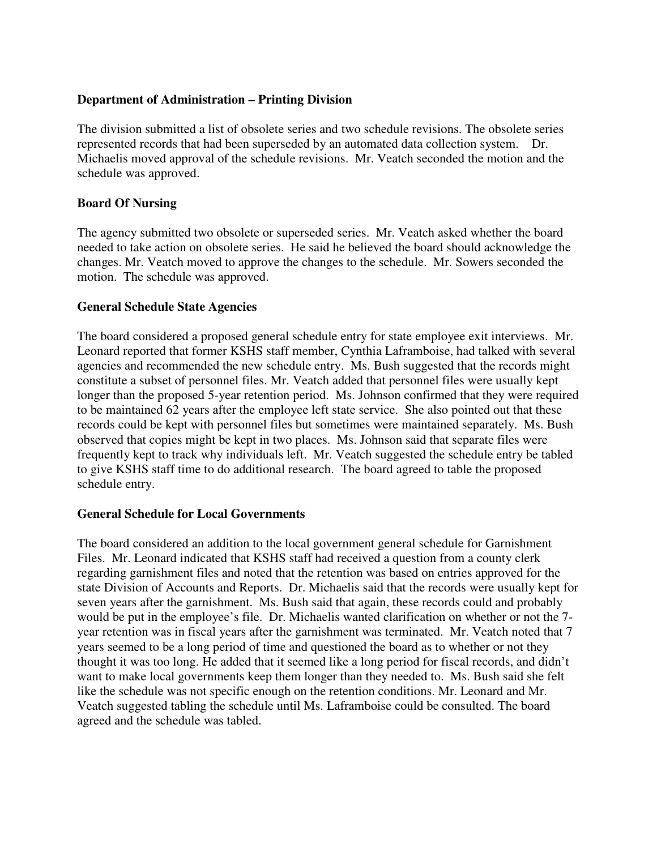## **Department of Administration – Printing Division**

The division submitted a list of obsolete series and two schedule revisions. The obsolete series represented records that had been superseded by an automated data collection system. Dr. Michaelis moved approval of the schedule revisions. Mr. Veatch seconded the motion and the schedule was approved.

### **Board Of Nursing**

The agency submitted two obsolete or superseded series. Mr. Veatch asked whether the board needed to take action on obsolete series. He said he believed the board should acknowledge the changes. Mr. Veatch moved to approve the changes to the schedule. Mr. Sowers seconded the motion. The schedule was approved.

### **General Schedule State Agencies**

The board considered a proposed general schedule entry for state employee exit interviews. Mr. Leonard reported that former KSHS staff member, Cynthia Laframboise, had talked with several agencies and recommended the new schedule entry. Ms. Bush suggested that the records might constitute a subset of personnel files. Mr. Veatch added that personnel files were usually kept longer than the proposed 5-year retention period. Ms. Johnson confirmed that they were required to be maintained 62 years after the employee left state service. She also pointed out that these records could be kept with personnel files but sometimes were maintained separately. Ms. Bush observed that copies might be kept in two places. Ms. Johnson said that separate files were frequently kept to track why individuals left. Mr. Veatch suggested the schedule entry be tabled to give KSHS staff time to do additional research. The board agreed to table the proposed schedule entry.

### **General Schedule for Local Governments**

The board considered an addition to the local government general schedule for Garnishment Files. Mr. Leonard indicated that KSHS staff had received a question from a county clerk regarding garnishment files and noted that the retention was based on entries approved for the state Division of Accounts and Reports. Dr. Michaelis said that the records were usually kept for seven years after the garnishment. Ms. Bush said that again, these records could and probably would be put in the employee's file. Dr. Michaelis wanted clarification on whether or not the 7 year retention was in fiscal years after the garnishment was terminated. Mr. Veatch noted that 7 years seemed to be a long period of time and questioned the board as to whether or not they thought it was too long. He added that it seemed like a long period for fiscal records, and didn't want to make local governments keep them longer than they needed to. Ms. Bush said she felt like the schedule was not specific enough on the retention conditions. Mr. Leonard and Mr. Veatch suggested tabling the schedule until Ms. Laframboise could be consulted. The board agreed and the schedule was tabled.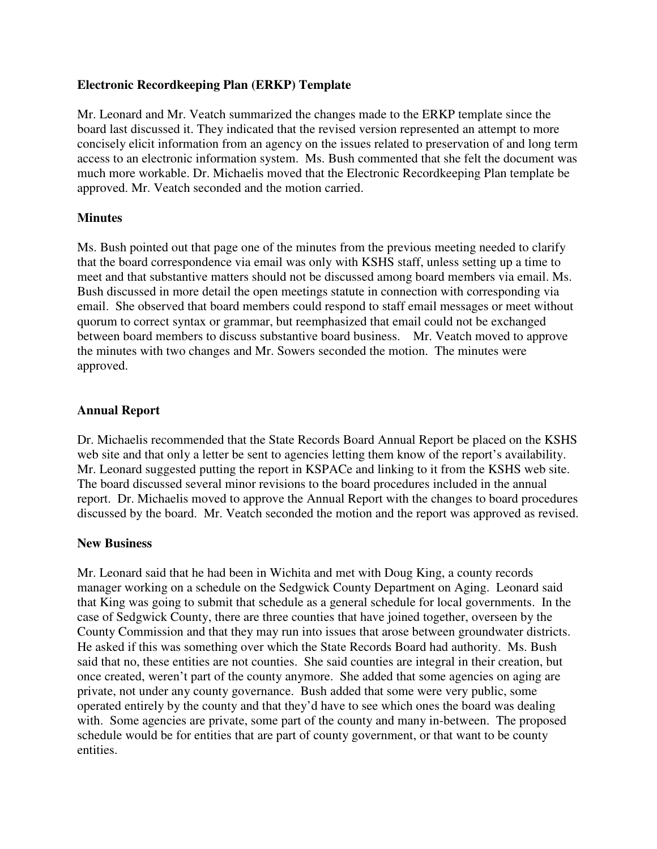## **Electronic Recordkeeping Plan (ERKP) Template**

Mr. Leonard and Mr. Veatch summarized the changes made to the ERKP template since the board last discussed it. They indicated that the revised version represented an attempt to more concisely elicit information from an agency on the issues related to preservation of and long term access to an electronic information system. Ms. Bush commented that she felt the document was much more workable. Dr. Michaelis moved that the Electronic Recordkeeping Plan template be approved. Mr. Veatch seconded and the motion carried.

# **Minutes**

Ms. Bush pointed out that page one of the minutes from the previous meeting needed to clarify that the board correspondence via email was only with KSHS staff, unless setting up a time to meet and that substantive matters should not be discussed among board members via email. Ms. Bush discussed in more detail the open meetings statute in connection with corresponding via email. She observed that board members could respond to staff email messages or meet without quorum to correct syntax or grammar, but reemphasized that email could not be exchanged between board members to discuss substantive board business. Mr. Veatch moved to approve the minutes with two changes and Mr. Sowers seconded the motion. The minutes were approved.

## **Annual Report**

Dr. Michaelis recommended that the State Records Board Annual Report be placed on the KSHS web site and that only a letter be sent to agencies letting them know of the report's availability. Mr. Leonard suggested putting the report in KSPACe and linking to it from the KSHS web site. The board discussed several minor revisions to the board procedures included in the annual report. Dr. Michaelis moved to approve the Annual Report with the changes to board procedures discussed by the board. Mr. Veatch seconded the motion and the report was approved as revised.

### **New Business**

Mr. Leonard said that he had been in Wichita and met with Doug King, a county records manager working on a schedule on the Sedgwick County Department on Aging. Leonard said that King was going to submit that schedule as a general schedule for local governments. In the case of Sedgwick County, there are three counties that have joined together, overseen by the County Commission and that they may run into issues that arose between groundwater districts. He asked if this was something over which the State Records Board had authority. Ms. Bush said that no, these entities are not counties. She said counties are integral in their creation, but once created, weren't part of the county anymore. She added that some agencies on aging are private, not under any county governance. Bush added that some were very public, some operated entirely by the county and that they'd have to see which ones the board was dealing with. Some agencies are private, some part of the county and many in-between. The proposed schedule would be for entities that are part of county government, or that want to be county entities.